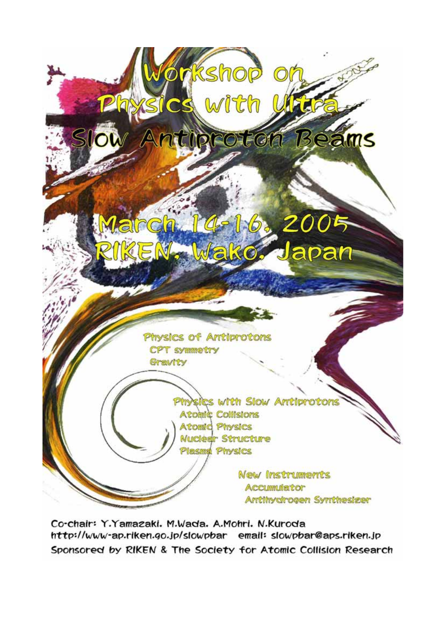

Co-chair: Y.Yamazaki, M.Wada, A.Mohri, N.Kuroda http://www-ap.riken.go.jp/slowpbar email: slowpbar@aps.riken.jp Sponsored by RIKEN & The Society for Atomic Collision Research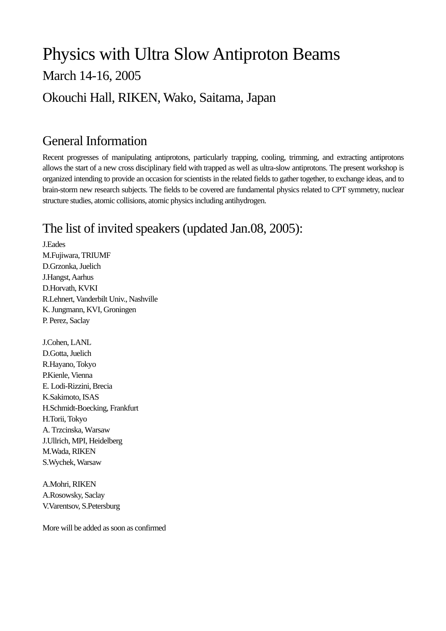# Physics with Ultra Slow Antiproton Beams March 14-16, 2005 Okouchi Hall, RIKEN, Wako, Saitama, Japan

#### General Information

Recent progresses of manipulating antiprotons, particularly trapping, cooling, trimming, and extracting antiprotons allows the start of a new cross disciplinary field with trapped as well as ultra-slow antiprotons. The present workshop is organized intending to provide an occasion for scientists in the related fields to gather together, to exchange ideas, and to brain-storm new research subjects. The fields to be covered are fundamental physics related to CPT symmetry, nuclear structure studies, atomic collisions, atomic physics including antihydrogen.

### The list of invited speakers (updated Jan.08, 2005):

J.Eades M.Fujiwara, TRIUMF D.Grzonka, Juelich J.Hangst, Aarhus D.Horvath, KVKI R.Lehnert, Vanderbilt Univ., Nashville K. Jungmann, KVI, Groningen P. Perez, Saclay

J.Cohen, LANL D.Gotta, Juelich R.Hayano, Tokyo P.Kienle, Vienna E. Lodi-Rizzini, Brecia K.Sakimoto, ISAS H.Schmidt-Boecking, Frankfurt H.Torii, Tokyo A. Trzcinska, Warsaw J.Ullrich, MPI, Heidelberg M.Wada, RIKEN S.Wychek, Warsaw

A.Mohri, RIKEN A.Rosowsky, Saclay V.Varentsov, S.Petersburg

More will be added as soon as confirmed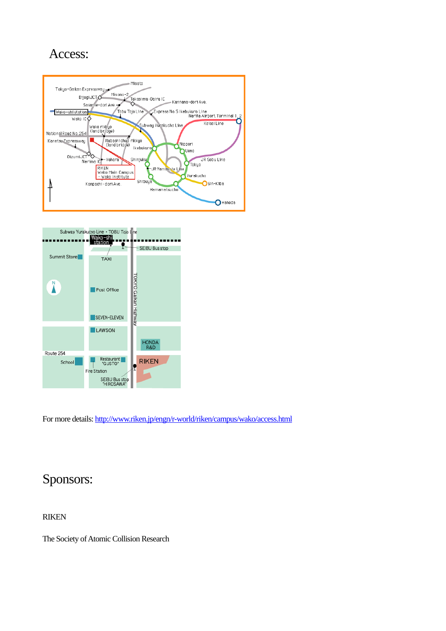#### Access:





For more details:<http://www.riken.jp/engn/r-world/riken/campus/wako/access.html>

#### Sponsors:

RIKEN

The Society of Atomic Collision Research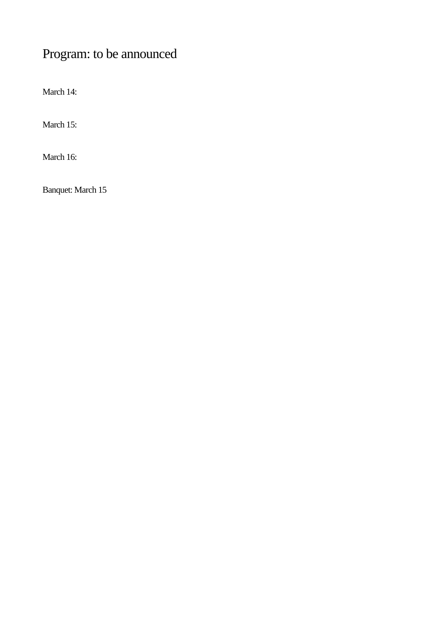## Program: to be announced

March 14:

March 15:

March 16:

Banquet: March 15